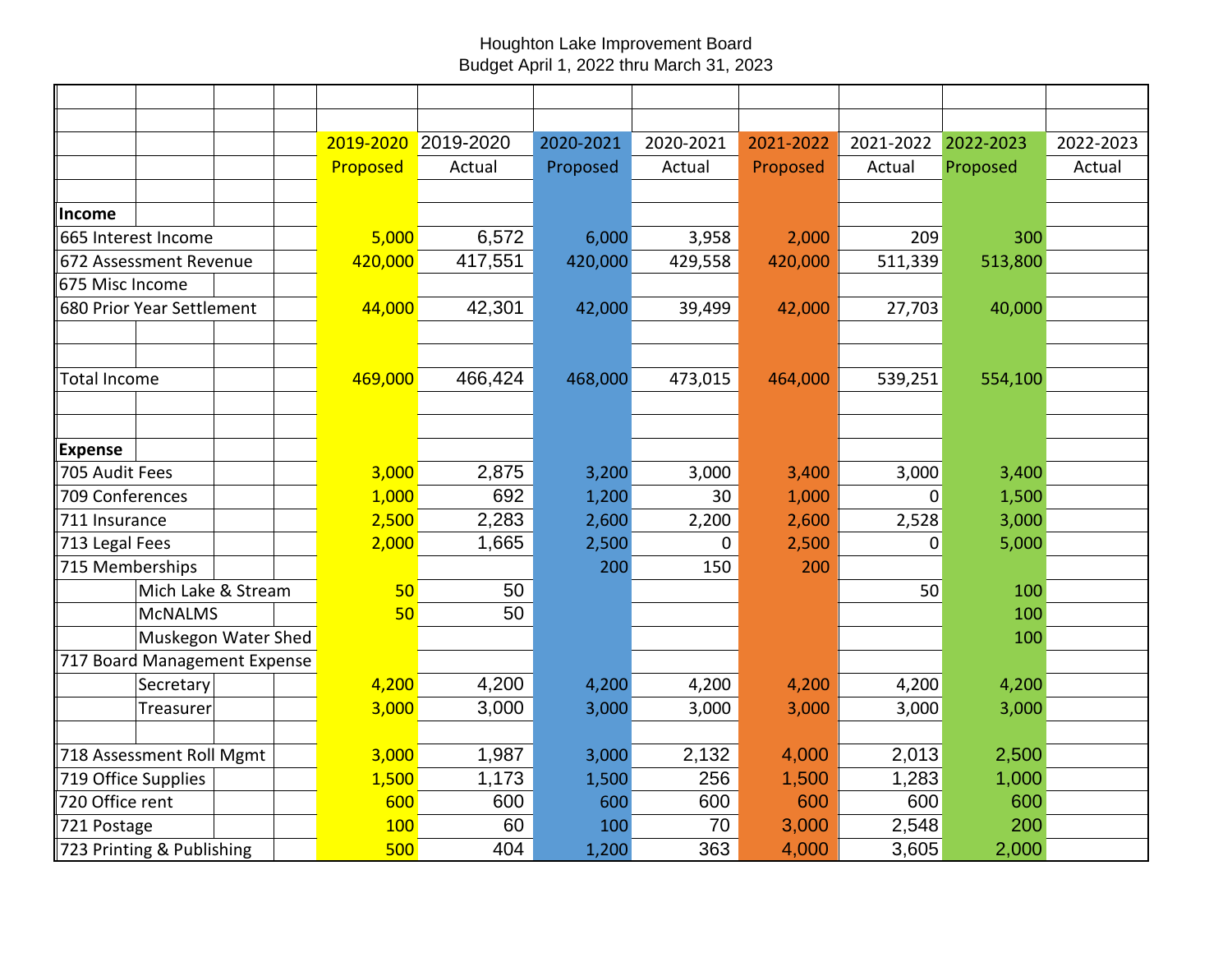## Houghton Lake Improvement Board Budget April 1, 2022 thru March 31, 2023

|                           |                              |  |  | 2019-2020 | 2019-2020 | 2020-2021 | 2020-2021 | 2021-2022 | 2021-2022 | 2022-2023 | 2022-2023 |
|---------------------------|------------------------------|--|--|-----------|-----------|-----------|-----------|-----------|-----------|-----------|-----------|
|                           |                              |  |  | Proposed  | Actual    | Proposed  | Actual    | Proposed  | Actual    | Proposed  | Actual    |
|                           |                              |  |  |           |           |           |           |           |           |           |           |
| Income                    |                              |  |  |           |           |           |           |           |           |           |           |
|                           | 665 Interest Income          |  |  | 5,000     | 6,572     | 6,000     | 3,958     | 2,000     | 209       | 300       |           |
| 672 Assessment Revenue    |                              |  |  | 420,000   | 417,551   | 420,000   | 429,558   | 420,000   | 511,339   | 513,800   |           |
| 675 Misc Income           |                              |  |  |           |           |           |           |           |           |           |           |
|                           | 680 Prior Year Settlement    |  |  | 44,000    | 42,301    | 42,000    | 39,499    | 42,000    | 27,703    | 40,000    |           |
|                           |                              |  |  |           |           |           |           |           |           |           |           |
|                           |                              |  |  |           |           |           |           |           |           |           |           |
| <b>Total Income</b>       |                              |  |  | 469,000   | 466,424   | 468,000   | 473,015   | 464,000   | 539,251   | 554,100   |           |
|                           |                              |  |  |           |           |           |           |           |           |           |           |
|                           |                              |  |  |           |           |           |           |           |           |           |           |
| <b>Expense</b>            |                              |  |  |           |           |           |           |           |           |           |           |
| 705 Audit Fees            |                              |  |  | 3,000     | 2,875     | 3,200     | 3,000     | 3,400     | 3,000     | 3,400     |           |
| 709 Conferences           |                              |  |  | 1,000     | 692       | 1,200     | 30        | 1,000     | $\Omega$  | 1,500     |           |
| 711 Insurance             |                              |  |  | 2,500     | 2,283     | 2,600     | 2,200     | 2,600     | 2,528     | 3,000     |           |
| 713 Legal Fees            |                              |  |  | 2,000     | 1,665     | 2,500     | 0         | 2,500     | 0         | 5,000     |           |
| 715 Memberships           |                              |  |  |           |           | 200       | 150       | 200       |           |           |           |
|                           | Mich Lake & Stream           |  |  | 50        | 50        |           |           |           | 50        | 100       |           |
|                           | <b>MCNALMS</b>               |  |  | 50        | 50        |           |           |           |           | 100       |           |
|                           | Muskegon Water Shed          |  |  |           |           |           |           |           |           | 100       |           |
|                           | 717 Board Management Expense |  |  |           |           |           |           |           |           |           |           |
|                           | Secretary                    |  |  | 4,200     | 4,200     | 4,200     | 4,200     | 4,200     | 4,200     | 4,200     |           |
|                           | Treasurer                    |  |  | 3,000     | 3,000     | 3,000     | 3,000     | 3,000     | 3,000     | 3,000     |           |
|                           |                              |  |  |           |           |           |           |           |           |           |           |
| 718 Assessment Roll Mgmt  |                              |  |  | 3,000     | 1,987     | 3,000     | 2,132     | 4,000     | 2,013     | 2,500     |           |
| 719 Office Supplies       |                              |  |  | 1,500     | 1,173     | 1,500     | 256       | 1,500     | 1,283     | 1,000     |           |
| 720 Office rent           |                              |  |  | 600       | 600       | 600       | 600       | 600       | 600       | 600       |           |
| 721 Postage               |                              |  |  | 100       | 60        | 100       | 70        | 3,000     | 2,548     | 200       |           |
| 723 Printing & Publishing |                              |  |  | 500       | 404       | 1,200     | 363       | 4,000     | 3,605     | 2,000     |           |